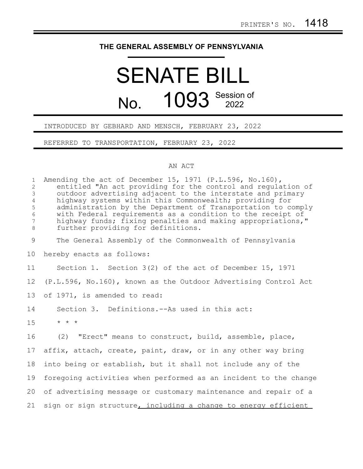## **THE GENERAL ASSEMBLY OF PENNSYLVANIA**

## SENATE BILL No. 1093 Session of

## INTRODUCED BY GEBHARD AND MENSCH, FEBRUARY 23, 2022

REFERRED TO TRANSPORTATION, FEBRUARY 23, 2022

## AN ACT

| $\mathbf{1}$<br>$\overline{2}$<br>3<br>$\overline{4}$<br>5<br>6<br>$7\phantom{.0}$<br>$8\,$ | Amending the act of December 15, 1971 (P.L.596, No.160),<br>entitled "An act providing for the control and requlation of<br>outdoor advertising adjacent to the interstate and primary<br>highway systems within this Commonwealth; providing for<br>administration by the Department of Transportation to comply<br>with Federal requirements as a condition to the receipt of<br>highway funds; fixing penalties and making appropriations,"<br>further providing for definitions. |
|---------------------------------------------------------------------------------------------|--------------------------------------------------------------------------------------------------------------------------------------------------------------------------------------------------------------------------------------------------------------------------------------------------------------------------------------------------------------------------------------------------------------------------------------------------------------------------------------|
| 9                                                                                           | The General Assembly of the Commonwealth of Pennsylvania                                                                                                                                                                                                                                                                                                                                                                                                                             |
| 10                                                                                          | hereby enacts as follows:                                                                                                                                                                                                                                                                                                                                                                                                                                                            |
| 11                                                                                          | Section 1. Section $3(2)$ of the act of December 15, 1971                                                                                                                                                                                                                                                                                                                                                                                                                            |
| 12                                                                                          | (P.L.596, No.160), known as the Outdoor Advertising Control Act                                                                                                                                                                                                                                                                                                                                                                                                                      |
| 13                                                                                          | of 1971, is amended to read:                                                                                                                                                                                                                                                                                                                                                                                                                                                         |
| 14                                                                                          | Section 3. Definitions.--As used in this act:                                                                                                                                                                                                                                                                                                                                                                                                                                        |
| 15                                                                                          | $\star$ $\star$ $\star$                                                                                                                                                                                                                                                                                                                                                                                                                                                              |
| 16                                                                                          | (2) "Erect" means to construct, build, assemble, place,                                                                                                                                                                                                                                                                                                                                                                                                                              |
| 17                                                                                          | affix, attach, create, paint, draw, or in any other way bring                                                                                                                                                                                                                                                                                                                                                                                                                        |
| 18                                                                                          | into being or establish, but it shall not include any of the                                                                                                                                                                                                                                                                                                                                                                                                                         |
| 19                                                                                          | foregoing activities when performed as an incident to the change                                                                                                                                                                                                                                                                                                                                                                                                                     |
| 20                                                                                          | of advertising message or customary maintenance and repair of a                                                                                                                                                                                                                                                                                                                                                                                                                      |
| 21                                                                                          | sign or sign structure, including a change to energy efficient                                                                                                                                                                                                                                                                                                                                                                                                                       |